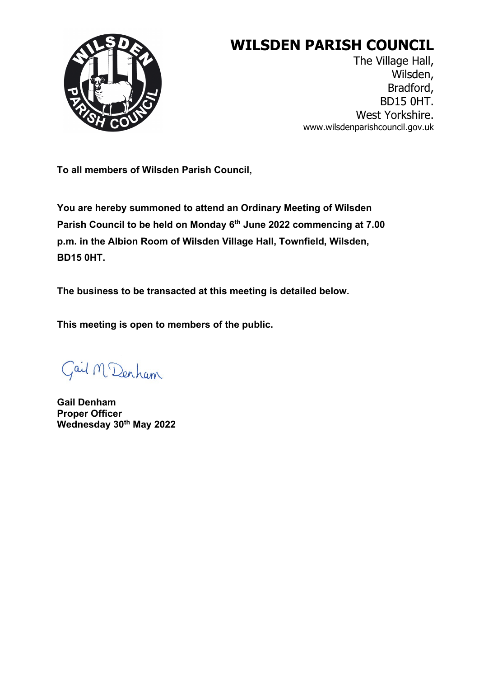

# **WILSDEN PARISH COUNCIL**

The Village Hall, Wilsden, Bradford, BD15 0HT. West Yorkshire. www.wilsdenparishcouncil.gov.uk

**To all members of Wilsden Parish Council,**

**You are hereby summoned to attend an Ordinary Meeting of Wilsden Parish Council to be held on Monday 6th June 2022 commencing at 7.00 p.m. in the Albion Room of Wilsden Village Hall, Townfield, Wilsden, BD15 0HT.** 

**The business to be transacted at this meeting is detailed below.**

**This meeting is open to members of the public.**

Gail M Denham

**Gail Denham Proper Officer Wednesday 30th May 2022**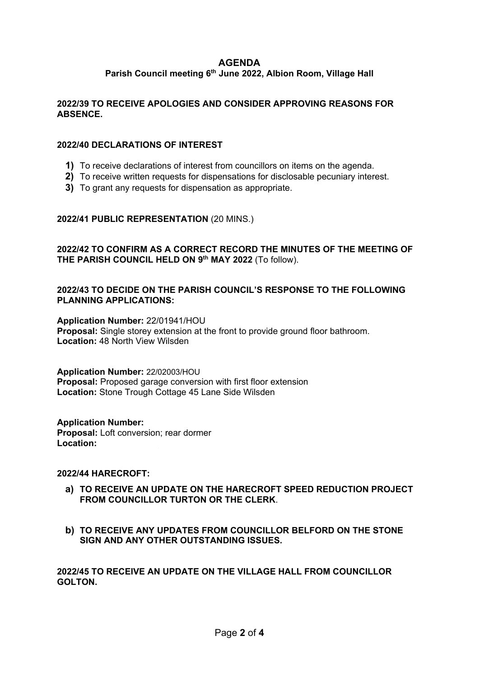## **AGENDA**

## **Parish Council meeting 6th June 2022, Albion Room, Village Hall**

## **2022/39 TO RECEIVE APOLOGIES AND CONSIDER APPROVING REASONS FOR ABSENCE.**

#### **2022/40 DECLARATIONS OF INTEREST**

- **1)** To receive declarations of interest from councillors on items on the agenda.
- **2)** To receive written requests for dispensations for disclosable pecuniary interest.
- **3)** To grant any requests for dispensation as appropriate.

## **2022/41 PUBLIC REPRESENTATION** (20 MINS.)

## **2022/42 TO CONFIRM AS A CORRECT RECORD THE MINUTES OF THE MEETING OF THE PARISH COUNCIL HELD ON 9th MAY 2022** (To follow).

## **2022/43 TO DECIDE ON THE PARISH COUNCIL'S RESPONSE TO THE FOLLOWING PLANNING APPLICATIONS:**

**Application Number:** 22/01941/HOU **Proposal:** Single storey extension at the front to provide ground floor bathroom. **Location:** 48 North View Wilsden

#### **Application Number:** 22/02003/HOU **Proposal:** Proposed garage conversion with first floor extension

**Location:** Stone Trough Cottage 45 Lane Side Wilsden

## **Application Number:**

**Proposal:** Loft conversion; rear dormer Location:

## **2022/44 HARECROFT:**

- **a) TO RECEIVE AN UPDATE ON THE HARECROFT SPEED REDUCTION PROJECT FROM COUNCILLOR TURTON OR THE CLERK**.
- **b) TO RECEIVE ANY UPDATES FROM COUNCILLOR BELFORD ON THE STONE SIGN AND ANY OTHER OUTSTANDING ISSUES.**

**2022/45 TO RECEIVE AN UPDATE ON THE VILLAGE HALL FROM COUNCILLOR GOLTON.**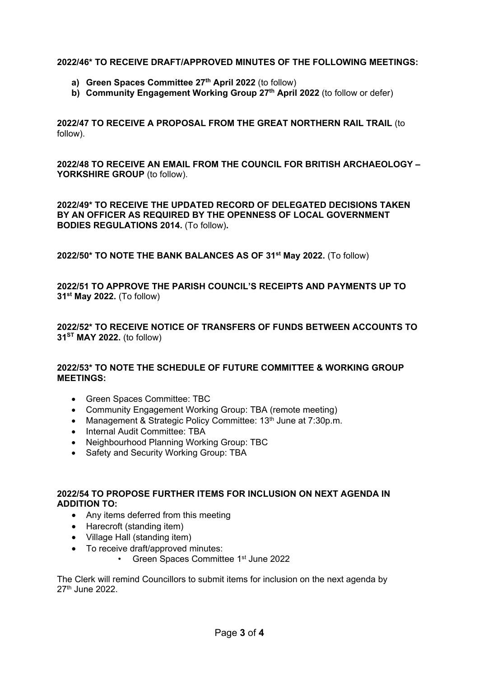## **2022/46\* TO RECEIVE DRAFT/APPROVED MINUTES OF THE FOLLOWING MEETINGS:**

- **a) Green Spaces Committee 27th April 2022** (to follow)
- **b) Community Engagement Working Group 27th April 2022** (to follow or defer)

**2022/47 TO RECEIVE A PROPOSAL FROM THE GREAT NORTHERN RAIL TRAIL** (to follow).

**2022/48 TO RECEIVE AN EMAIL FROM THE COUNCIL FOR BRITISH ARCHAEOLOGY –** YORKSHIRE GROUP (to follow).

**2022/49\* TO RECEIVE THE UPDATED RECORD OF DELEGATED DECISIONS TAKEN BY AN OFFICER AS REQUIRED BY THE OPENNESS OF LOCAL GOVERNMENT BODIES REGULATIONS 2014.** (To follow)**.**

**2022/50\* TO NOTE THE BANK BALANCES AS OF 31st May 2022.** (To follow)

**2022/51 TO APPROVE THE PARISH COUNCIL'S RECEIPTS AND PAYMENTS UP TO 31st May 2022.** (To follow)

**2022/52\* TO RECEIVE NOTICE OF TRANSFERS OF FUNDS BETWEEN ACCOUNTS TO 31ST MAY 2022.** (to follow)

## **2022/53\* TO NOTE THE SCHEDULE OF FUTURE COMMITTEE & WORKING GROUP MEETINGS:**

- Green Spaces Committee: TBC
- Community Engagement Working Group: TBA (remote meeting)
- Management & Strategic Policy Committee: 13<sup>th</sup> June at 7:30p.m.
- Internal Audit Committee: TBA
- Neighbourhood Planning Working Group: TBC
- Safety and Security Working Group: TBA

## **2022/54 TO PROPOSE FURTHER ITEMS FOR INCLUSION ON NEXT AGENDA IN ADDITION TO:**

- Any items deferred from this meeting
- Harecroft (standing item)
- Village Hall (standing item)
- To receive draft/approved minutes:
	- Green Spaces Committee 1st June 2022

The Clerk will remind Councillors to submit items for inclusion on the next agenda by 27th June 2022.